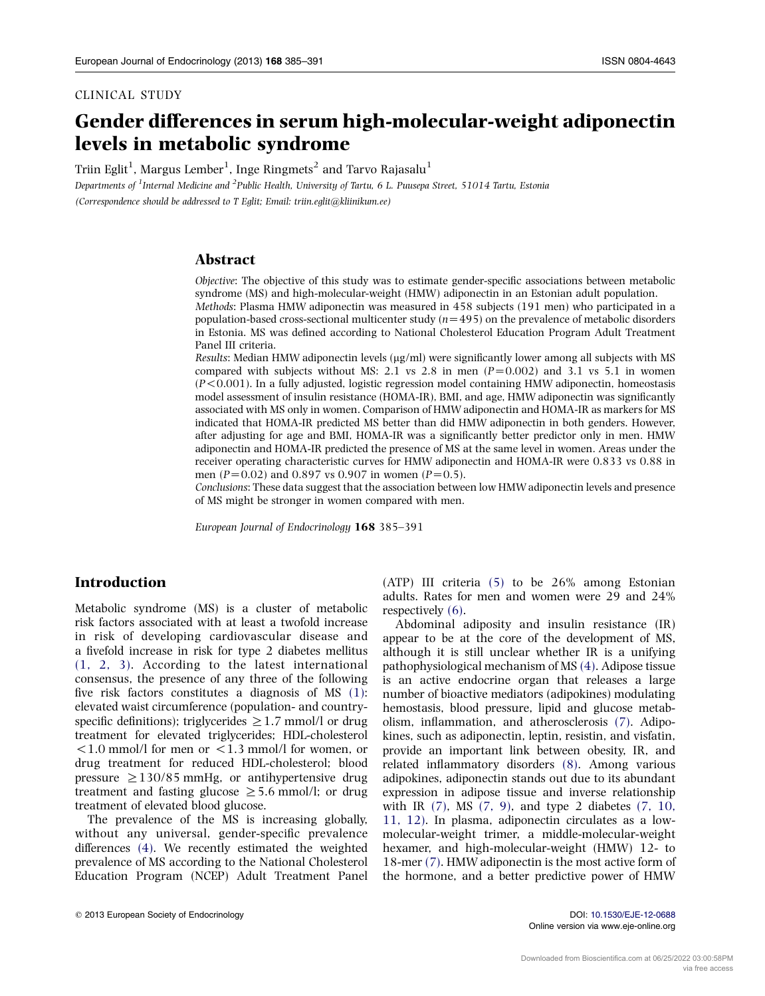# Gender differences in serum high-molecular-weight adiponectin levels in metabolic syndrome

Triin Eglit $^1$ , Margus Lember $^1$ , Inge Ringmets $^2$  and Tarvo Rajasalu $^1$ 

Departments of <sup>1</sup>Internal Medicine and <sup>2</sup>Public Health, University of Tartu, 6 L. Puusepa Street, 51014 Tartu, Estonia (Correspondence should be addressed to T Eglit; Email: triin.eglit@kliinikum.ee)

## Abstract

Objective: The objective of this study was to estimate gender-specific associations between metabolic syndrome (MS) and high-molecular-weight (HMW) adiponectin in an Estonian adult population. Methods: Plasma HMW adiponectin was measured in 458 subjects (191 men) who participated in a

population-based cross-sectional multicenter study  $(n=495)$  on the prevalence of metabolic disorders in Estonia. MS was defined according to National Cholesterol Education Program Adult Treatment Panel III criteria.

Results: Median HMW adiponectin levels  $(\mu g/ml)$  were significantly lower among all subjects with MS compared with subjects without MS: 2.1 vs 2.8 in men  $(P=0.002)$  and 3.1 vs 5.1 in women  $(P<0.001)$ . In a fully adjusted, logistic regression model containing HMW adiponectin, homeostasis model assessment of insulin resistance (HOMA-IR), BMI, and age, HMW adiponectin was significantly associated with MS only in women. Comparison of HMW adiponectin and HOMA-IR as markers for MS indicated that HOMA-IR predicted MS better than did HMW adiponectin in both genders. However, after adjusting for age and BMI, HOMA-IR was a significantly better predictor only in men. HMW adiponectin and HOMA-IR predicted the presence of MS at the same level in women. Areas under the receiver operating characteristic curves for HMW adiponectin and HOMA-IR were 0.833 vs 0.88 in men (P=0.02) and 0.897 vs 0.907 in women (P=0.5).

Conclusions: These data suggest that the association between low HMW adiponectin levels and presence of MS might be stronger in women compared with men.

European Journal of Endocrinology 168 385–391

## Introduction

Metabolic syndrome (MS) is a cluster of metabolic risk factors associated with at least a twofold increase in risk of developing cardiovascular disease and a fivefold increase in risk for type 2 diabetes mellitus [\(1, 2, 3\)](#page-5-0). According to the latest international consensus, the presence of any three of the following five risk factors constitutes a diagnosis of MS [\(1\)](#page-5-0): elevated waist circumference (population- and countryspecific definitions); triglycerides  $\geq$  1.7 mmol/l or drug treatment for elevated triglycerides; HDL-cholesterol  $1.0$  mmol/l for men or  $1.3$  mmol/l for women, or drug treatment for reduced HDL-cholesterol; blood pressure  $\geq$  130/85 mmHg, or antihypertensive drug treatment and fasting glucose  $\geq 5.6$  mmol/l; or drug treatment of elevated blood glucose.

The prevalence of the MS is increasing globally, without any universal, gender-specific prevalence differences [\(4\)](#page-5-0). We recently estimated the weighted prevalence of MS according to the National Cholesterol Education Program (NCEP) Adult Treatment Panel (ATP) III criteria [\(5\)](#page-5-0) to be 26% among Estonian adults. Rates for men and women were 29 and 24% respectively [\(6\).](#page-5-0)

Abdominal adiposity and insulin resistance (IR) appear to be at the core of the development of MS, although it is still unclear whether IR is a unifying pathophysiological mechanism of MS [\(4\)](#page-5-0). Adipose tissue is an active endocrine organ that releases a large number of bioactive mediators (adipokines) modulating hemostasis, blood pressure, lipid and glucose metabolism, inflammation, and atherosclerosis [\(7\).](#page-5-0) Adipokines, such as adiponectin, leptin, resistin, and visfatin, provide an important link between obesity, IR, and related inflammatory disorders [\(8\)](#page-5-0). Among various adipokines, adiponectin stands out due to its abundant expression in adipose tissue and inverse relationship with IR  $(7)$ , MS  $(7, 9)$ , and type 2 diabetes  $(7, 10, 10)$  $(7, 10, 10)$ [11, 12\).](#page-5-0) In plasma, adiponectin circulates as a lowmolecular-weight trimer, a middle-molecular-weight hexamer, and high-molecular-weight (HMW) 12- to 18-mer [\(7\).](#page-5-0) HMW adiponectin is the most active form of the hormone, and a better predictive power of HMW

Online version via www.eje-online.org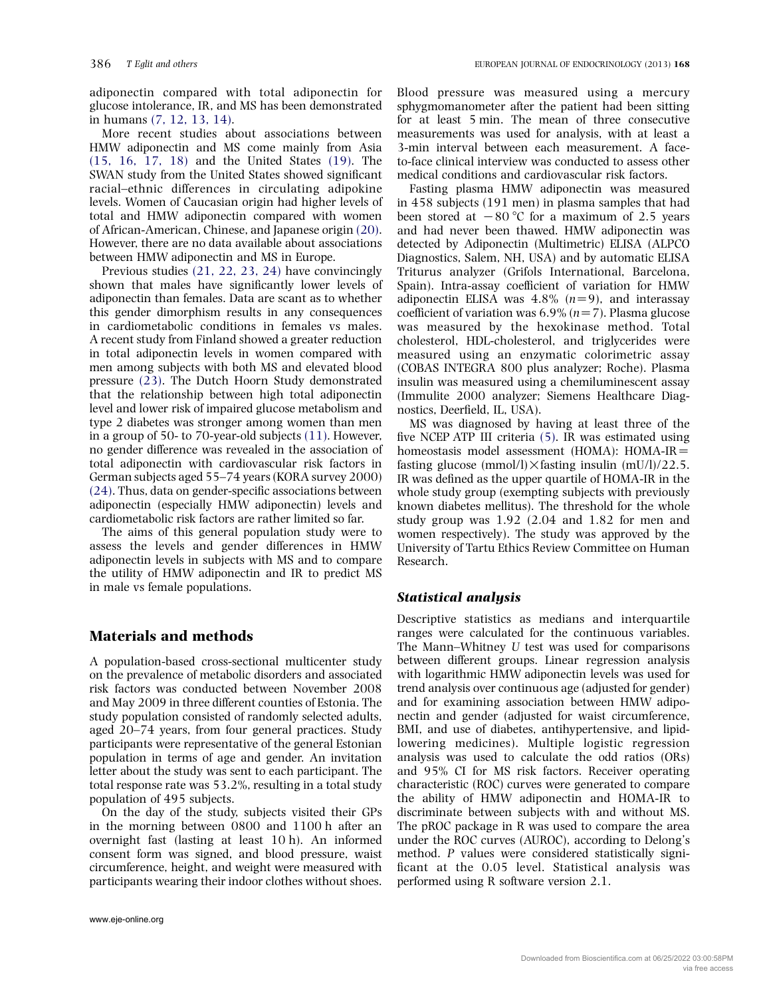adiponectin compared with total adiponectin for glucose intolerance, IR, and MS has been demonstrated in humans [\(7, 12, 13, 14\)](#page-5-0).

More recent studies about associations between HMW adiponectin and MS come mainly from Asia [\(15, 16, 17, 18\)](#page-5-0) and the United States [\(19\).](#page-5-0) The SWAN study from the United States showed significant racial–ethnic differences in circulating adipokine levels. Women of Caucasian origin had higher levels of total and HMW adiponectin compared with women of African-American, Chinese, and Japanese origin [\(20\).](#page-5-0) However, there are no data available about associations between HMW adiponectin and MS in Europe.

Previous studies [\(21, 22, 23, 24\)](#page-5-0) have convincingly shown that males have significantly lower levels of adiponectin than females. Data are scant as to whether this gender dimorphism results in any consequences in cardiometabolic conditions in females vs males. A recent study from Finland showed a greater reduction in total adiponectin levels in women compared with men among subjects with both MS and elevated blood pressure [\(23\).](#page-5-0) The Dutch Hoorn Study demonstrated that the relationship between high total adiponectin level and lower risk of impaired glucose metabolism and type 2 diabetes was stronger among women than men in a group of 50- to 70-year-old subjects [\(11\).](#page-5-0) However, no gender difference was revealed in the association of total adiponectin with cardiovascular risk factors in German subjects aged 55–74 years (KORA survey 2000) [\(24\)](#page-5-0). Thus, data on gender-specific associations between adiponectin (especially HMW adiponectin) levels and cardiometabolic risk factors are rather limited so far.

The aims of this general population study were to assess the levels and gender differences in HMW adiponectin levels in subjects with MS and to compare the utility of HMW adiponectin and IR to predict MS in male vs female populations.

# Materials and methods

A population-based cross-sectional multicenter study on the prevalence of metabolic disorders and associated risk factors was conducted between November 2008 and May 2009 in three different counties of Estonia. The study population consisted of randomly selected adults, aged 20–74 years, from four general practices. Study participants were representative of the general Estonian population in terms of age and gender. An invitation letter about the study was sent to each participant. The total response rate was 53.2%, resulting in a total study population of 495 subjects.

On the day of the study, subjects visited their GPs in the morning between 0800 and 1100 h after an overnight fast (lasting at least 10 h). An informed consent form was signed, and blood pressure, waist circumference, height, and weight were measured with participants wearing their indoor clothes without shoes.

Blood pressure was measured using a mercury sphygmomanometer after the patient had been sitting for at least 5 min. The mean of three consecutive measurements was used for analysis, with at least a 3-min interval between each measurement. A faceto-face clinical interview was conducted to assess other medical conditions and cardiovascular risk factors.

Fasting plasma HMW adiponectin was measured in 458 subjects (191 men) in plasma samples that had been stored at  $-80$  °C for a maximum of 2.5 years and had never been thawed. HMW adiponectin was detected by Adiponectin (Multimetric) ELISA (ALPCO Diagnostics, Salem, NH, USA) and by automatic ELISA Triturus analyzer (Grifols International, Barcelona, Spain). Intra-assay coefficient of variation for HMW adiponectin ELISA was  $4.8\%$  ( $n=9$ ), and interassay coefficient of variation was  $6.9\%$  ( $n=7$ ). Plasma glucose was measured by the hexokinase method. Total cholesterol, HDL-cholesterol, and triglycerides were measured using an enzymatic colorimetric assay (COBAS INTEGRA 800 plus analyzer; Roche). Plasma insulin was measured using a chemiluminescent assay (Immulite 2000 analyzer; Siemens Healthcare Diagnostics, Deerfield, IL, USA).

MS was diagnosed by having at least three of the five NCEP ATP III criteria [\(5\)](#page-5-0). IR was estimated using homeostasis model assessment (HOMA):  $HOMA-IR=$ fasting glucose (mmol/l) $\times$ fasting insulin (mU/l)/22.5. IR was defined as the upper quartile of HOMA-IR in the whole study group (exempting subjects with previously known diabetes mellitus). The threshold for the whole study group was 1.92 (2.04 and 1.82 for men and women respectively). The study was approved by the University of Tartu Ethics Review Committee on Human Research.

## Statistical analysis

Descriptive statistics as medians and interquartile ranges were calculated for the continuous variables. The Mann–Whitney U test was used for comparisons between different groups. Linear regression analysis with logarithmic HMW adiponectin levels was used for trend analysis over continuous age (adjusted for gender) and for examining association between HMW adiponectin and gender (adjusted for waist circumference, BMI, and use of diabetes, antihypertensive, and lipidlowering medicines). Multiple logistic regression analysis was used to calculate the odd ratios (ORs) and 95% CI for MS risk factors. Receiver operating characteristic (ROC) curves were generated to compare the ability of HMW adiponectin and HOMA-IR to discriminate between subjects with and without MS. The pROC package in R was used to compare the area under the ROC curves (AUROC), according to Delong's method. P values were considered statistically significant at the 0.05 level. Statistical analysis was performed using R software version 2.1.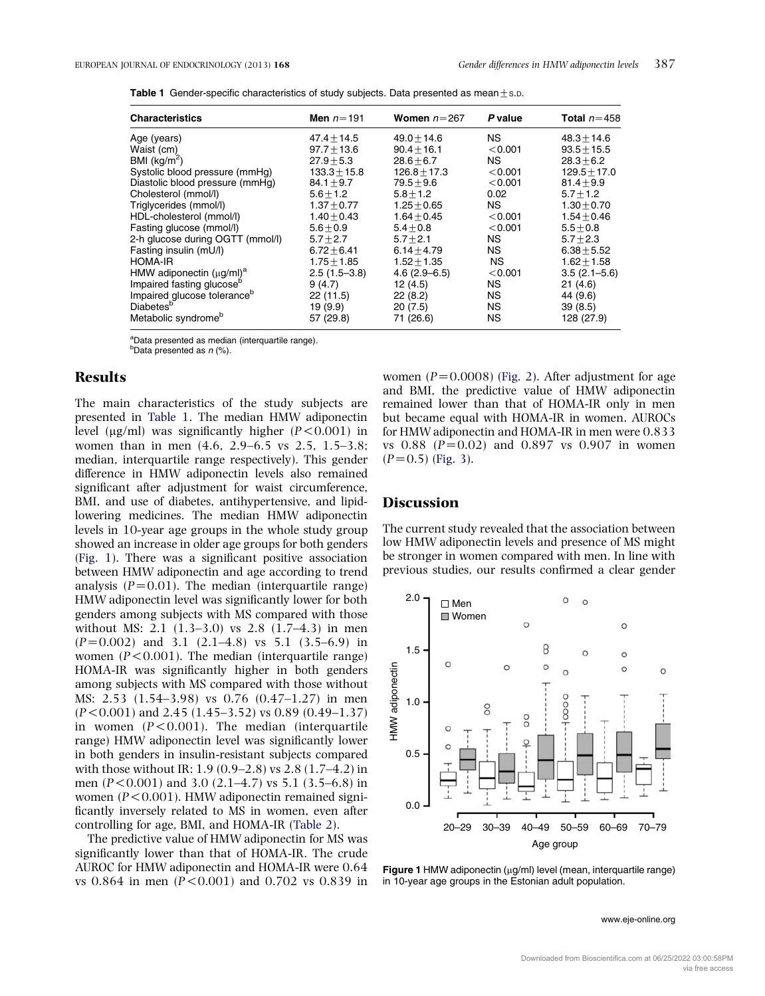| <b>Table 1</b> Gender-specific characteristics of study subjects. Data presented as mean $\pm$ s.p. |  |  |
|-----------------------------------------------------------------------------------------------------|--|--|
|                                                                                                     |  |  |

| <b>Characteristics</b>                  | Men $n=191$      | Women $n=267$    | P value   | Total $n = 458$  |
|-----------------------------------------|------------------|------------------|-----------|------------------|
| Age (years)                             | $47.4 \pm 14.5$  | $49.0 + 14.6$    | NS.       | $48.3 + 14.6$    |
| Waist (cm)                              | $97.7 + 13.6$    | $90.4 + 16.1$    | < 0.001   | $93.5 + 15.5$    |
| BMI $(kq/m2)$                           | $27.9 + 5.3$     | $28.6 + 6.7$     | <b>NS</b> | $28.3 + 6.2$     |
| Systolic blood pressure (mmHg)          | $133.3 \pm 15.8$ | $126.8 + 17.3$   | < 0.001   | $129.5 + 17.0$   |
| Diastolic blood pressure (mmHg)         | $84.1 + 9.7$     | $79.5 + 9.6$     | < 0.001   | $81.4 + 9.9$     |
| Cholesterol (mmol/l)                    | $5.6 + 1.2$      | $5.8 + 1.2$      | 0.02      | $5.7 + 1.2$      |
| Triglycerides (mmol/l)                  | $1.37 + 0.77$    | $1.25 + 0.65$    | <b>NS</b> | $1.30 + 0.70$    |
| HDL-cholesterol (mmol/l)                | $1.40 + 0.43$    | $1.64 + 0.45$    | < 0.001   | $1.54 + 0.46$    |
| Fasting glucose (mmol/l)                | $5.6 + 0.9$      | $5.4 + 0.8$      | < 0.001   | $5.5 + 0.8$      |
| 2-h glucose during OGTT (mmol/l)        | $5.7 + 2.7$      | $5.7 + 2.1$      | NS.       | $5.7 + 2.3$      |
| Fasting insulin (mU/l)                  | $6.72 + 6.41$    | $6.14 + 4.79$    | NS.       | $6.38 + 5.52$    |
| HOMA-IR                                 | $1.75 \pm 1.85$  | $1.52 + 1.35$    | <b>NS</b> | $1.62 \pm 1.58$  |
| HMW adiponectin $(\mu g/ml)^a$          | $2.5(1.5-3.8)$   | $4.6(2.9 - 6.5)$ | < 0.001   | $3.5(2.1 - 5.6)$ |
| Impaired fasting glucose <sup>b</sup>   | 9(4.7)           | 12(4.5)          | NS.       | 21(4.6)          |
| Impaired glucose tolerance <sup>b</sup> | 22 (11.5)        | 22(8.2)          | NS.       | 44 (9.6)         |
| Diabetes <sup>b</sup>                   | 19(9.9)          | 20(7.5)          | NS.       | 39(8.5)          |
| Metabolic syndrome <sup>b</sup>         | 57 (29.8)        | 71 (26.6)        | ΝS        | 128 (27.9)       |

<sup>a</sup>Data presented as median (interquartile range).

 $b$ Data presented as  $n$  (%).

## Results

The main characteristics of the study subjects are presented in Table 1. The median HMW adiponectin level ( $\mu$ g/ml) was significantly higher ( $P < 0.001$ ) in women than in men (4.6, 2.9–6.5 vs 2.5, 1.5–3.8; median, interquartile range respectively). This gender difference in HMW adiponectin levels also remained significant after adjustment for waist circumference, BMI, and use of diabetes, antihypertensive, and lipidlowering medicines. The median HMW adiponectin levels in 10-year age groups in the whole study group showed an increase in older age groups for both genders (Fig. 1). There was a significant positive association between HMW adiponectin and age according to trend analysis  $(P=0.01)$ . The median (interquartile range) HMW adiponectin level was significantly lower for both genders among subjects with MS compared with those without MS: 2.1 (1.3–3.0) vs 2.8 (1.7–4.3) in men  $(P=0.002)$  and 3.1  $(2.1-4.8)$  vs 5.1  $(3.5-6.9)$  in women  $(P<0.001)$ . The median (interquartile range) HOMA-IR was significantly higher in both genders among subjects with MS compared with those without MS: 2.53 (1.54–3.98) vs 0.76 (0.47–1.27) in men  $(P<0.001)$  and 2.45 (1.45–3.52) vs 0.89 (0.49–1.37) in women  $(P<0.001)$ . The median (interquartile range) HMW adiponectin level was significantly lower in both genders in insulin-resistant subjects compared with those without IR: 1.9 (0.9–2.8) vs 2.8 (1.7–4.2) in men  $(P<0.001)$  and 3.0 (2.1–4.7) vs 5.1 (3.5–6.8) in women ( $P < 0.001$ ). HMW adiponectin remained significantly inversely related to MS in women, even after controlling for age, BMI, and HOMA-IR ([Table 2\)](#page-3-0).

The predictive value of HMW adiponectin for MS was significantly lower than that of HOMA-IR. The crude AUROC for HMW adiponectin and HOMA-IR were 0.64 vs  $0.864$  in men  $(P<0.001)$  and  $0.702$  vs  $0.839$  in women  $(P=0.0008)$  ([Fig. 2](#page-3-0)). After adjustment for age and BMI, the predictive value of HMW adiponectin remained lower than that of HOMA-IR only in men but became equal with HOMA-IR in women. AUROCs for HMW adiponectin and HOMA-IR in men were 0.833 vs  $0.88$  ( $P=0.02$ ) and  $0.897$  vs  $0.907$  in women  $(P=0.5)$  ([Fig. 3\)](#page-4-0).

## **Discussion**

The current study revealed that the association between low HMW adiponectin levels and presence of MS might be stronger in women compared with men. In line with previous studies, our results confirmed a clear gender



Figure 1 HMW adiponectin ( $\mu$ g/ml) level (mean, interquartile range) in 10-year age groups in the Estonian adult population.

www.eje-online.org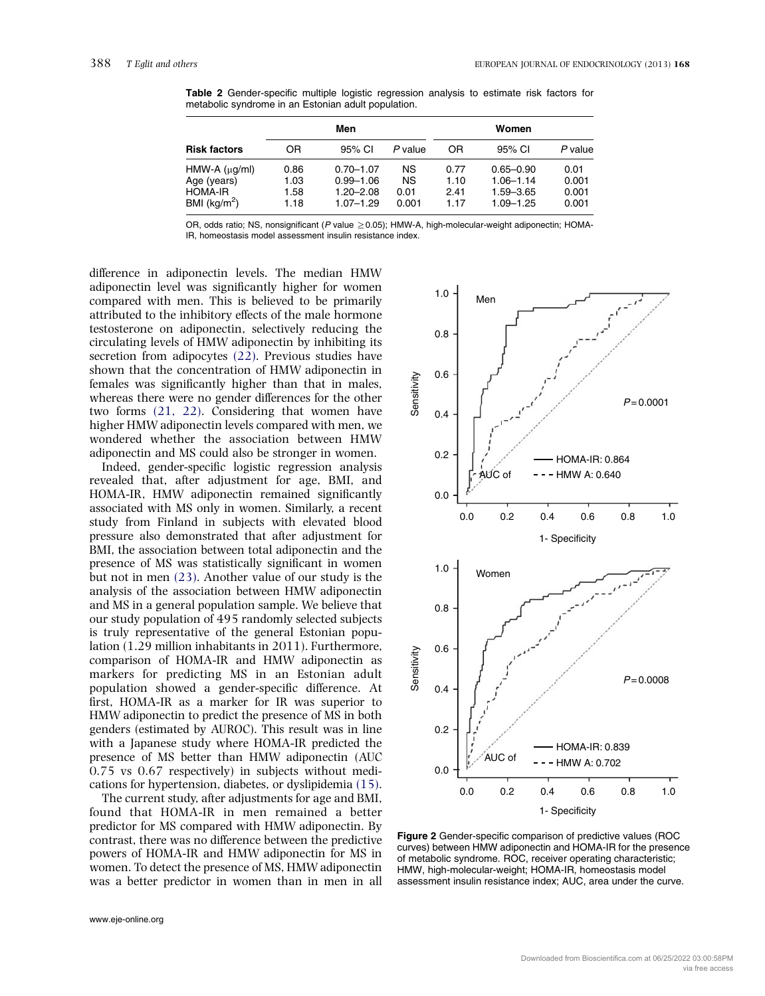|                                                                                | Men                          |                                                                  |                                         | Women                        |                                                                  |                                 |
|--------------------------------------------------------------------------------|------------------------------|------------------------------------------------------------------|-----------------------------------------|------------------------------|------------------------------------------------------------------|---------------------------------|
| <b>Risk factors</b>                                                            | OR                           | 95% CI                                                           | P value                                 | OR                           | 95% CI                                                           | P value                         |
| $HMW-A (\mu g/ml)$<br>Age (years)<br><b>HOMA-IR</b><br>BMI ( $\text{kg/m}^2$ ) | 0.86<br>1.03<br>1.58<br>1.18 | $0.70 - 1.07$<br>$0.99 - 1.06$<br>$1.20 - 2.08$<br>$1.07 - 1.29$ | <b>NS</b><br><b>NS</b><br>0.01<br>0.001 | 0.77<br>1.10<br>2.41<br>1.17 | $0.65 - 0.90$<br>$1.06 - 1.14$<br>$1.59 - 3.65$<br>$1.09 - 1.25$ | 0.01<br>0.001<br>0.001<br>0.001 |

<span id="page-3-0"></span>Table 2 Gender-specific multiple logistic regression analysis to estimate risk factors for metabolic syndrome in an Estonian adult population.

OR, odds ratio; NS, nonsignificant (P value  $\geq$  0.05); HMW-A, high-molecular-weight adiponectin; HOMA-IR, homeostasis model assessment insulin resistance index.

difference in adiponectin levels. The median HMW adiponectin level was significantly higher for women compared with men. This is believed to be primarily attributed to the inhibitory effects of the male hormone testosterone on adiponectin, selectively reducing the circulating levels of HMW adiponectin by inhibiting its secretion from adipocytes [\(22\).](#page-5-0) Previous studies have shown that the concentration of HMW adiponectin in females was significantly higher than that in males, whereas there were no gender differences for the other two forms [\(21, 22\)](#page-5-0). Considering that women have higher HMW adiponectin levels compared with men, we wondered whether the association between HMW adiponectin and MS could also be stronger in women.

Indeed, gender-specific logistic regression analysis revealed that, after adjustment for age, BMI, and HOMA-IR, HMW adiponectin remained significantly associated with MS only in women. Similarly, a recent study from Finland in subjects with elevated blood pressure also demonstrated that after adjustment for BMI, the association between total adiponectin and the presence of MS was statistically significant in women but not in men [\(23\).](#page-5-0) Another value of our study is the analysis of the association between HMW adiponectin and MS in a general population sample. We believe that our study population of 495 randomly selected subjects is truly representative of the general Estonian population (1.29 million inhabitants in 2011). Furthermore, comparison of HOMA-IR and HMW adiponectin as markers for predicting MS in an Estonian adult population showed a gender-specific difference. At first, HOMA-IR as a marker for IR was superior to HMW adiponectin to predict the presence of MS in both genders (estimated by AUROC). This result was in line with a Japanese study where HOMA-IR predicted the presence of MS better than HMW adiponectin (AUC 0.75 vs 0.67 respectively) in subjects without medications for hypertension, diabetes, or dyslipidemia [\(15\).](#page-5-0)

The current study, after adjustments for age and BMI, found that HOMA-IR in men remained a better predictor for MS compared with HMW adiponectin. By contrast, there was no difference between the predictive powers of HOMA-IR and HMW adiponectin for MS in women. To detect the presence of MS, HMW adiponectin was a better predictor in women than in men in all



Figure 2 Gender-specific comparison of predictive values (ROC curves) between HMW adiponectin and HOMA-IR for the presence of metabolic syndrome. ROC, receiver operating characteristic; HMW, high-molecular-weight; HOMA-IR, homeostasis model assessment insulin resistance index; AUC, area under the curve.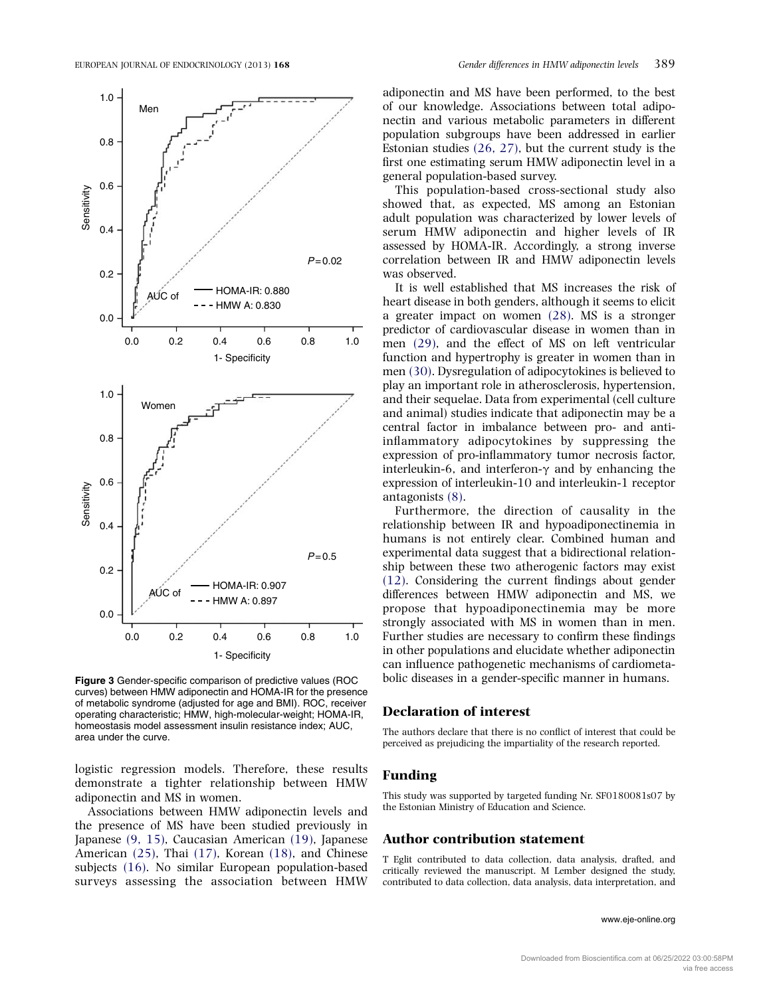<span id="page-4-0"></span>

Figure 3 Gender-specific comparison of predictive values (ROC curves) between HMW adiponectin and HOMA-IR for the presence of metabolic syndrome (adjusted for age and BMI). ROC, receiver operating characteristic; HMW, high-molecular-weight; HOMA-IR, homeostasis model assessment insulin resistance index; AUC, area under the curve.

logistic regression models. Therefore, these results demonstrate a tighter relationship between HMW adiponectin and MS in women.

Associations between HMW adiponectin levels and the presence of MS have been studied previously in Japanese [\(9, 15\)](#page-5-0), Caucasian American [\(19\)](#page-5-0), Japanese American [\(25\),](#page-5-0) Thai [\(17\),](#page-5-0) Korean [\(18\),](#page-5-0) and Chinese subjects [\(16\)](#page-5-0). No similar European population-based surveys assessing the association between HMW

adiponectin and MS have been performed, to the best of our knowledge. Associations between total adiponectin and various metabolic parameters in different population subgroups have been addressed in earlier Estonian studies [\(26, 27\),](#page-5-0) but the current study is the first one estimating serum HMW adiponectin level in a general population-based survey.

This population-based cross-sectional study also showed that, as expected, MS among an Estonian adult population was characterized by lower levels of serum HMW adiponectin and higher levels of IR assessed by HOMA-IR. Accordingly, a strong inverse correlation between IR and HMW adiponectin levels was observed.

It is well established that MS increases the risk of heart disease in both genders, although it seems to elicit a greater impact on women [\(28\).](#page-6-0) MS is a stronger predictor of cardiovascular disease in women than in men [\(29\)](#page-6-0), and the effect of MS on left ventricular function and hypertrophy is greater in women than in men [\(30\).](#page-6-0) Dysregulation of adipocytokines is believed to play an important role in atherosclerosis, hypertension, and their sequelae. Data from experimental (cell culture and animal) studies indicate that adiponectin may be a central factor in imbalance between pro- and antiinflammatory adipocytokines by suppressing the expression of pro-inflammatory tumor necrosis factor, interleukin-6, and interferon- $\gamma$  and by enhancing the expression of interleukin-10 and interleukin-1 receptor antagonists [\(8\).](#page-5-0)

Furthermore, the direction of causality in the relationship between IR and hypoadiponectinemia in humans is not entirely clear. Combined human and experimental data suggest that a bidirectional relationship between these two atherogenic factors may exist [\(12\).](#page-5-0) Considering the current findings about gender differences between HMW adiponectin and MS, we propose that hypoadiponectinemia may be more strongly associated with MS in women than in men. Further studies are necessary to confirm these findings in other populations and elucidate whether adiponectin can influence pathogenetic mechanisms of cardiometabolic diseases in a gender-specific manner in humans.

## Declaration of interest

The authors declare that there is no conflict of interest that could be perceived as prejudicing the impartiality of the research reported.

#### Funding

This study was supported by targeted funding Nr. SF0180081s07 by the Estonian Ministry of Education and Science.

### Author contribution statement

T Eglit contributed to data collection, data analysis, drafted, and critically reviewed the manuscript. M Lember designed the study, contributed to data collection, data analysis, data interpretation, and

#### www.eje-online.org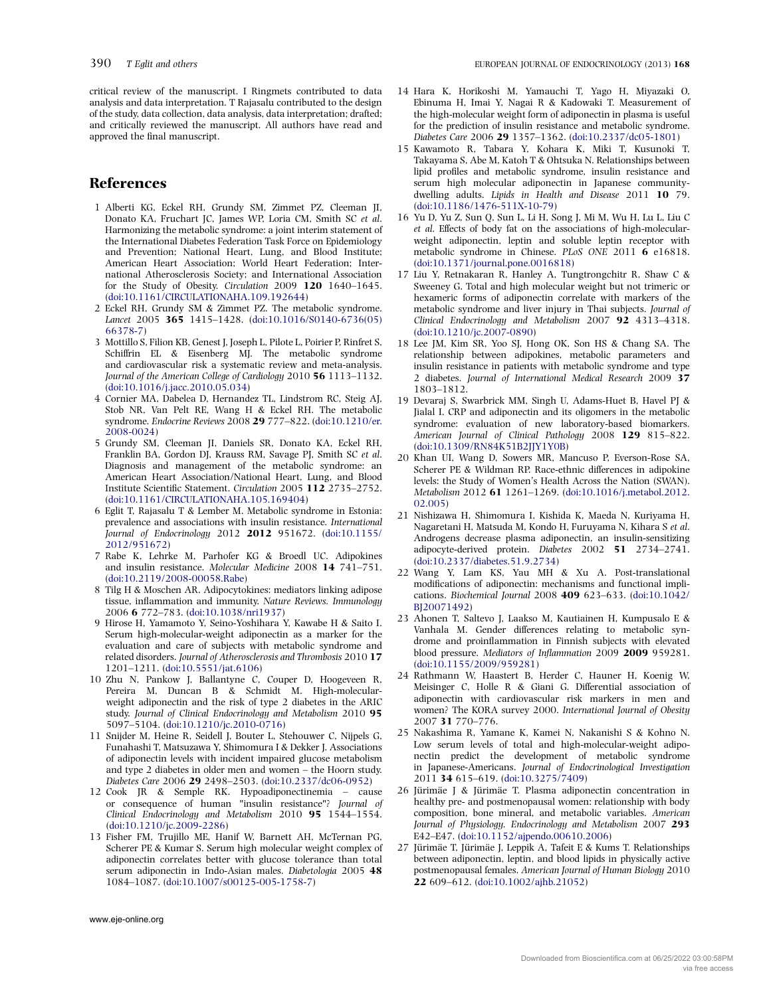<span id="page-5-0"></span>critical review of the manuscript. I Ringmets contributed to data analysis and data interpretation. T Rajasalu contributed to the design of the study, data collection, data analysis, data interpretation; drafted; and critically reviewed the manuscript. All authors have read and approved the final manuscript.

## References

- 1 Alberti KG, Eckel RH, Grundy SM, Zimmet PZ, Cleeman JI, Donato KA, Fruchart JC, James WP, Loria CM, Smith SC et al. Harmonizing the metabolic syndrome: a joint interim statement of the International Diabetes Federation Task Force on Epidemiology and Prevention; National Heart, Lung, and Blood Institute; American Heart Association; World Heart Federation; International Atherosclerosis Society; and International Association for the Study of Obesity. Circulation 2009 120 1640–1645. [\(doi:10.1161/CIRCULATIONAHA.109.192644](http://dx.doi.org/10.1161/CIRCULATIONAHA.109.192644))
- 2 Eckel RH, Grundy SM & Zimmet PZ. The metabolic syndrome. Lancet 2005 365 1415–1428. [\(doi:10.1016/S0140-6736\(05\)](http://dx.doi.org/10.1016/S0140-6736(05)66378-7) [66378-7](http://dx.doi.org/10.1016/S0140-6736(05)66378-7))
- 3 Mottillo S, Filion KB, Genest J, Joseph L, Pilote L, Poirier P, Rinfret S, Schiffrin EL & Eisenberg MJ. The metabolic syndrome and cardiovascular risk a systematic review and meta-analysis. Journal of the American College of Cardiology 2010 56 1113–1132. [\(doi:10.1016/j.jacc.2010.05.034\)](http://dx.doi.org/10.1016/j.jacc.2010.05.034)
- 4 Cornier MA, Dabelea D, Hernandez TL, Lindstrom RC, Steig AJ, Stob NR, Van Pelt RE, Wang H & Eckel RH. The metabolic syndrome. Endocrine Reviews 2008 29 777–822. [\(doi:10.1210/er.](http://dx.doi.org/10.1210/er.2008-0024) [2008-0024](http://dx.doi.org/10.1210/er.2008-0024))
- 5 Grundy SM, Cleeman JI, Daniels SR, Donato KA, Eckel RH, Franklin BA, Gordon DJ, Krauss RM, Savage PJ, Smith SC et al. Diagnosis and management of the metabolic syndrome: an American Heart Association/National Heart, Lung, and Blood Institute Scientific Statement. Circulation 2005 112 2735–2752. [\(doi:10.1161/CIRCULATIONAHA.105.169404](http://dx.doi.org/10.1161/CIRCULATIONAHA.105.169404))
- 6 Eglit T, Rajasalu T & Lember M. Metabolic syndrome in Estonia: prevalence and associations with insulin resistance. International Journal of Endocrinology 2012 2012 951672. [\(doi:10.1155/](http://dx.doi.org/10.1155/2012/951672) [2012/951672](http://dx.doi.org/10.1155/2012/951672))
- 7 Rabe K, Lehrke M, Parhofer KG & Broedl UC. Adipokines and insulin resistance. Molecular Medicine 2008 14 741–751. [\(doi:10.2119/2008-00058.Rabe](http://dx.doi.org/10.2119/2008-00058.Rabe))
- 8 Tilg H & Moschen AR. Adipocytokines: mediators linking adipose tissue, inflammation and immunity. Nature Reviews. Immunology 2006 6 772–783. ([doi:10.1038/nri1937](http://dx.doi.org/10.1038/nri1937))
- 9 Hirose H, Yamamoto Y, Seino-Yoshihara Y, Kawabe H & Saito I. Serum high-molecular-weight adiponectin as a marker for the evaluation and care of subjects with metabolic syndrome and related disorders. Journal of Atherosclerosis and Thrombosis 2010 17 1201–1211. ([doi:10.5551/jat.6106](http://dx.doi.org/10.5551/jat.6106))
- 10 Zhu N, Pankow J, Ballantyne C, Couper D, Hoogeveen R, Pereira M, Duncan B & Schmidt M. High-molecularweight adiponectin and the risk of type 2 diabetes in the ARIC study. Journal of Clinical Endocrinology and Metabolism 2010 95 5097–5104. ([doi:10.1210/jc.2010-0716\)](http://dx.doi.org/10.1210/jc.2010-0716)
- 11 Snijder M, Heine R, Seidell J, Bouter L, Stehouwer C, Nijpels G, Funahashi T, Matsuzawa Y, Shimomura I & Dekker J. Associations of adiponectin levels with incident impaired glucose metabolism and type 2 diabetes in older men and women – the Hoorn study. Diabetes Care 2006 29 2498–2503. ([doi:10.2337/dc06-0952\)](http://dx.doi.org/10.2337/dc06-0952)
- 12 Cook JR & Semple RK. Hypoadiponectinemia cause or consequence of human "insulin resistance"? Journal of Clinical Endocrinology and Metabolism 2010 95 1544–1554. [\(doi:10.1210/jc.2009-2286](http://dx.doi.org/10.1210/jc.2009-2286))
- 13 Fisher FM, Trujillo ME, Hanif W, Barnett AH, McTernan PG, Scherer PE & Kumar S. Serum high molecular weight complex of adiponectin correlates better with glucose tolerance than total serum adiponectin in Indo-Asian males. Diabetologia 2005 48 1084–1087. ([doi:10.1007/s00125-005-1758-7\)](http://dx.doi.org/10.1007/s00125-005-1758-7)
- 14 Hara K, Horikoshi M, Yamauchi T, Yago H, Miyazaki O, Ebinuma H, Imai Y, Nagai R & Kadowaki T. Measurement of the high-molecular weight form of adiponectin in plasma is useful for the prediction of insulin resistance and metabolic syndrome. Diabetes Care 2006 29 1357–1362. ([doi:10.2337/dc05-1801](http://dx.doi.org/10.2337/dc05-1801))
- 15 Kawamoto R, Tabara Y, Kohara K, Miki T, Kusunoki T, Takayama S, Abe M, Katoh T & Ohtsuka N. Relationships between lipid profiles and metabolic syndrome, insulin resistance and serum high molecular adiponectin in Japanese communitydwelling adults. Lipids in Health and Disease 2011 10 79. [\(doi:10.1186/1476-511X-10-79](http://dx.doi.org/10.1186/1476-511X-10-79))
- 16 Yu D, Yu Z, Sun Q, Sun L, Li H, Song J, Mi M, Wu H, Lu L, Liu C et al. Effects of body fat on the associations of high-molecularweight adiponectin, leptin and soluble leptin receptor with metabolic syndrome in Chinese. PLoS ONE 2011 6 e16818. [\(doi:10.1371/journal.pone.0016818\)](http://dx.doi.org/10.1371/journal.pone.0016818)
- 17 Liu Y, Retnakaran R, Hanley A, Tungtrongchitr R, Shaw C & Sweeney G. Total and high molecular weight but not trimeric or hexameric forms of adiponectin correlate with markers of the metabolic syndrome and liver injury in Thai subjects. Journal of Clinical Endocrinology and Metabolism 2007 92 4313–4318. [\(doi:10.1210/jc.2007-0890\)](http://dx.doi.org/10.1210/jc.2007-0890)
- 18 Lee JM, Kim SR, Yoo SJ, Hong OK, Son HS & Chang SA. The relationship between adipokines, metabolic parameters and insulin resistance in patients with metabolic syndrome and type 2 diabetes. Journal of International Medical Research 2009 37 1803–1812.
- 19 Devaraj S, Swarbrick MM, Singh U, Adams-Huet B, Havel PJ & Jialal I. CRP and adiponectin and its oligomers in the metabolic syndrome: evaluation of new laboratory-based biomarkers. American Journal of Clinical Pathology 2008 129 815–822. [\(doi:10.1309/RN84K51B2JJY1Y0B](http://dx.doi.org/10.1309/RN84K51B2JJY1Y0B))
- 20 Khan UI, Wang D, Sowers MR, Mancuso P, Everson-Rose SA, Scherer PE & Wildman RP. Race-ethnic differences in adipokine levels: the Study of Women's Health Across the Nation (SWAN). Metabolism 2012 61 1261–1269. ([doi:10.1016/j.metabol.2012.](http://dx.doi.org/10.1016/j.metabol.2012.02.005) [02.005\)](http://dx.doi.org/10.1016/j.metabol.2012.02.005)
- 21 Nishizawa H, Shimomura I, Kishida K, Maeda N, Kuriyama H, Nagaretani H, Matsuda M, Kondo H, Furuyama N, Kihara S et al. Androgens decrease plasma adiponectin, an insulin-sensitizing adipocyte-derived protein. Diabetes 2002 51 2734–2741. [\(doi:10.2337/diabetes.51.9.2734\)](http://dx.doi.org/10.2337/diabetes.51.9.2734)
- 22 Wang Y, Lam KS, Yau MH & Xu A. Post-translational modifications of adiponectin: mechanisms and functional implications. Biochemical Journal 2008 409 623–633. [\(doi:10.1042/](http://dx.doi.org/10.1042/BJ20071492) [BJ20071492\)](http://dx.doi.org/10.1042/BJ20071492)
- 23 Ahonen T, Saltevo J, Laakso M, Kautiainen H, Kumpusalo E & Vanhala M. Gender differences relating to metabolic syndrome and proinflammation in Finnish subjects with elevated blood pressure. Mediators of Inflammation 2009 2009 959281. [\(doi:10.1155/2009/959281\)](http://dx.doi.org/10.1155/2009/959281)
- 24 Rathmann W, Haastert B, Herder C, Hauner H, Koenig W, Meisinger C, Holle R & Giani G. Differential association of adiponectin with cardiovascular risk markers in men and women? The KORA survey 2000. International Journal of Obesity 2007 31 770–776.
- 25 Nakashima R, Yamane K, Kamei N, Nakanishi S & Kohno N. Low serum levels of total and high-molecular-weight adiponectin predict the development of metabolic syndrome in Japanese-Americans. Journal of Endocrinological Investigation 2011 34 615–619. ([doi:10.3275/7409](http://dx.doi.org/10.3275/7409))
- 26 Jürimäe J & Jürimäe T. Plasma adiponectin concentration in healthy pre- and postmenopausal women: relationship with body composition, bone mineral, and metabolic variables. American Journal of Physiology. Endocrinology and Metabolism 2007 293 E42–E47. [\(doi:10.1152/ajpendo.00610.2006\)](http://dx.doi.org/10.1152/ajpendo.00610.2006)
- 27 Jürimäe T, Jürimäe J, Leppik A, Tafeit E & Kums T. Relationships between adiponectin, leptin, and blood lipids in physically active postmenopausal females. American Journal of Human Biology 2010 22 609–612. ([doi:10.1002/ajhb.21052\)](http://dx.doi.org/10.1002/ajhb.21052)